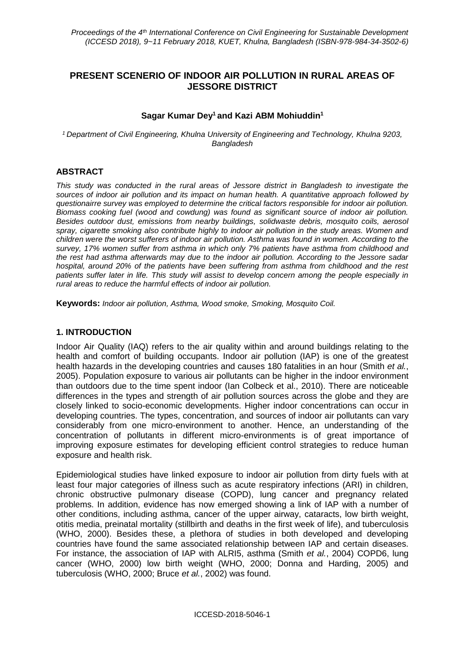# **PRESENT SCENERIO OF INDOOR AIR POLLUTION IN RURAL AREAS OF JESSORE DISTRICT**

#### **Sagar Kumar Dey<sup>1</sup> and Kazi ABM Mohiuddin<sup>1</sup>**

*<sup>1</sup>Department of Civil Engineering, Khulna University of Engineering and Technology, Khulna 9203, Bangladesh*

### **ABSTRACT**

*This study was conducted in the rural areas of Jessore district in Bangladesh to investigate the sources of indoor air pollution and its impact on human health. A quantitative approach followed by questionairre survey was employed to determine the critical factors responsible for indoor air pollution. Biomass cooking fuel (wood and cowdung) was found as significant source of indoor air pollution. Besides outdoor dust, emissions from nearby buildings, solidwaste debris, mosquito coils, aerosol spray, cigarette smoking also contribute highly to indoor air pollution in the study areas. Women and children were the worst sufferers of indoor air pollution. Asthma was found in women. According to the survey, 17% women suffer from asthma in which only 7% patients have asthma from childhood and the rest had asthma afterwards may due to the indoor air pollution. According to the Jessore sadar hospital, around 20% of the patients have been suffering from asthma from childhood and the rest patients suffer later in life. This study will assist to develop concern among the people especially in rural areas to reduce the harmful effects of indoor air pollution.*

**Keywords:** *Indoor air pollution, Asthma, Wood smoke, Smoking, Mosquito Coil.*

#### **1. INTRODUCTION**

Indoor Air Quality (IAQ) refers to the air quality within and around buildings relating to the health and comfort of building occupants. Indoor air pollution (IAP) is one of the greatest health hazards in the developing countries and causes 180 fatalities in an hour (Smith *et al.*, 2005). Population exposure to various air pollutants can be higher in the indoor environment than outdoors due to the time spent indoor (Ian Colbeck et al., 2010). There are noticeable differences in the types and strength of air pollution sources across the globe and they are closely linked to socio-economic developments. Higher indoor concentrations can occur in developing countries. The types, concentration, and sources of indoor air pollutants can vary considerably from one micro-environment to another. Hence, an understanding of the concentration of pollutants in different micro-environments is of great importance of improving exposure estimates for developing efficient control strategies to reduce human exposure and health risk.

Epidemiological studies have linked exposure to indoor air pollution from dirty fuels with at least four major categories of illness such as acute respiratory infections (ARI) in children, chronic obstructive pulmonary disease (COPD), lung cancer and pregnancy related problems. In addition, evidence has now emerged showing a link of IAP with a number of other conditions, including asthma, cancer of the upper airway, cataracts, low birth weight, otitis media, preinatal mortality (stillbirth and deaths in the first week of life), and tuberculosis (WHO, 2000). Besides these, a plethora of studies in both developed and developing countries have found the same associated relationship between IAP and certain diseases. For instance, the association of IAP with ALRI5, asthma (Smith *et al.*, 2004) COPD6, lung cancer (WHO, 2000) low birth weight (WHO, 2000; Donna and Harding, 2005) and tuberculosis (WHO, 2000; Bruce *et al.*, 2002) was found.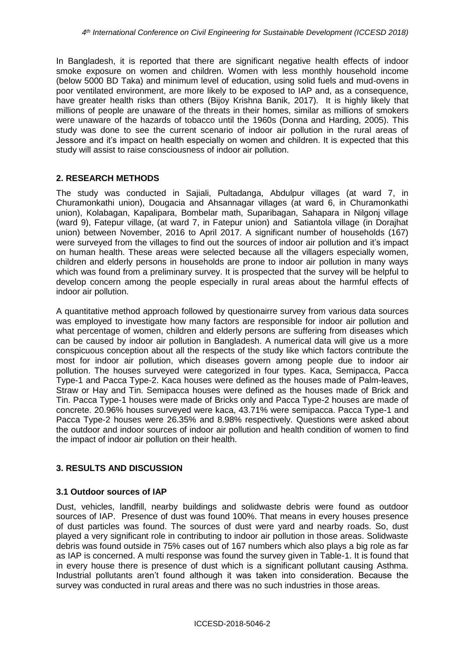In Bangladesh, it is reported that there are significant negative health effects of indoor smoke exposure on women and children. Women with less monthly household income (below 5000 BD Taka) and minimum level of education, using solid fuels and mud-ovens in poor ventilated environment, are more likely to be exposed to IAP and, as a consequence, have greater health risks than others (Bijoy Krishna Banik, 2017). It is highly likely that millions of people are unaware of the threats in their homes, similar as millions of smokers were unaware of the hazards of tobacco until the 1960s (Donna and Harding, 2005). This study was done to see the current scenario of indoor air pollution in the rural areas of Jessore and it's impact on health especially on women and children. It is expected that this study will assist to raise consciousness of indoor air pollution.

# **2. RESEARCH METHODS**

The study was conducted in Sajiali, Pultadanga, Abdulpur villages (at ward 7, in Churamonkathi union), Dougacia and Ahsannagar villages (at ward 6, in Churamonkathi union), Kolabagan, Kapalipara, Bombelar math, Suparibagan, Sahapara in Nilgonj village (ward 9), Fatepur village, (at ward 7, in Fatepur union) and Satiantola village (in Dorajhat union) between November, 2016 to April 2017. A significant number of households (167) were surveyed from the villages to find out the sources of indoor air pollution and it's impact on human health. These areas were selected because all the villagers especially women, children and elderly persons in households are prone to indoor air pollution in many ways which was found from a preliminary survey. It is prospected that the survey will be helpful to develop concern among the people especially in rural areas about the harmful effects of indoor air pollution.

A quantitative method approach followed by questionairre survey from various data sources was employed to investigate how many factors are responsible for indoor air pollution and what percentage of women, children and elderly persons are suffering from diseases which can be caused by indoor air pollution in Bangladesh. A numerical data will give us a more conspicuous conception about all the respects of the study like which factors contribute the most for indoor air pollution, which diseases govern among people due to indoor air pollution. The houses surveyed were categorized in four types. Kaca, Semipacca, Pacca Type-1 and Pacca Type-2. Kaca houses were defined as the houses made of Palm-leaves, Straw or Hay and Tin. Semipacca houses were defined as the houses made of Brick and Tin. Pacca Type-1 houses were made of Bricks only and Pacca Type-2 houses are made of concrete. 20.96% houses surveyed were kaca, 43.71% were semipacca. Pacca Type-1 and Pacca Type-2 houses were 26.35% and 8.98% respectively. Questions were asked about the outdoor and indoor sources of indoor air pollution and health condition of women to find the impact of indoor air pollution on their health.

## **3. RESULTS AND DISCUSSION**

## **3.1 Outdoor sources of IAP**

Dust, vehicles, landfill, nearby buildings and solidwaste debris were found as outdoor sources of IAP. Presence of dust was found 100%. That means in every houses presence of dust particles was found. The sources of dust were yard and nearby roads. So, dust played a very significant role in contributing to indoor air pollution in those areas. Solidwaste debris was found outside in 75% cases out of 167 numbers which also plays a big role as far as IAP is concerned. A multi response was found the survey given in Table-1. It is found that in every house there is presence of dust which is a significant pollutant causing Asthma. Industrial pollutants aren't found although it was taken into consideration. Because the survey was conducted in rural areas and there was no such industries in those areas.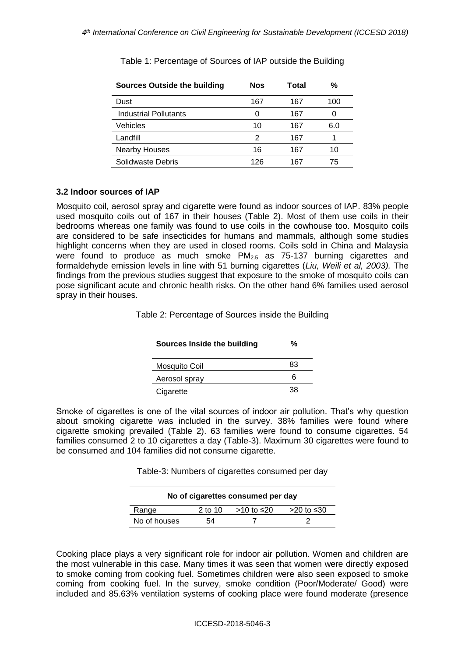| <b>Sources Outside the building</b> | <b>Nos</b> | Total | %   |
|-------------------------------------|------------|-------|-----|
| Dust                                | 167        | 167   | 100 |
| Industrial Pollutants               | 0          | 167   | O   |
| Vehicles                            | 10         | 167   | 6.0 |
| Landfill                            | 2          | 167   |     |
| <b>Nearby Houses</b>                | 16         | 167   | 10  |
| Solidwaste Debris                   | 126        | 167   | 75  |

Table 1: Percentage of Sources of IAP outside the Building

### **3.2 Indoor sources of IAP**

Mosquito coil, aerosol spray and cigarette were found as indoor sources of IAP. 83% people used mosquito coils out of 167 in their houses (Table 2). Most of them use coils in their bedrooms whereas one family was found to use coils in the cowhouse too. Mosquito coils are considered to be safe insecticides for humans and mammals, although some studies highlight concerns when they are used in closed rooms. Coils sold in China and Malaysia were found to produce as much smoke  $PM_{2.5}$  $PM_{2.5}$  as 75-137 burning cigarettes and formaldehyde emission levels in line with 51 burning cigarettes (*Liu, Weili et al, 2003).* The findings from the previous studies suggest that exposure to the smoke of mosquito coils can pose significant acute and chronic health risks. On the other hand 6% families used aerosol spray in their houses.

Table 2: Percentage of Sources inside the Building

| Sources Inside the building | %  |
|-----------------------------|----|
| Mosquito Coil               | 83 |
| Aerosol spray               | 6  |
| Cigarette                   | 38 |

Smoke of cigarettes is one of the vital sources of indoor air pollution. That's why question about smoking cigarette was included in the survey. 38% families were found where cigarette smoking prevailed (Table 2). 63 families were found to consume cigarettes. 54 families consumed 2 to 10 cigarettes a day (Table-3). Maximum 30 cigarettes were found to be consumed and 104 families did not consume cigarette.

Table-3: Numbers of cigarettes consumed per day

| No of cigarettes consumed per day |           |            |            |  |
|-----------------------------------|-----------|------------|------------|--|
| Range                             | $2$ to 10 | >10 to ≤20 | >20 to ≤30 |  |
| No of houses                      | 54        |            |            |  |

Cooking place plays a very significant role for indoor air pollution. Women and children are the most vulnerable in this case. Many times it was seen that women were directly exposed to smoke coming from cooking fuel. Sometimes children were also seen exposed to smoke coming from cooking fuel. In the survey, smoke condition (Poor/Moderate/ Good) were included and 85.63% ventilation systems of cooking place were found moderate (presence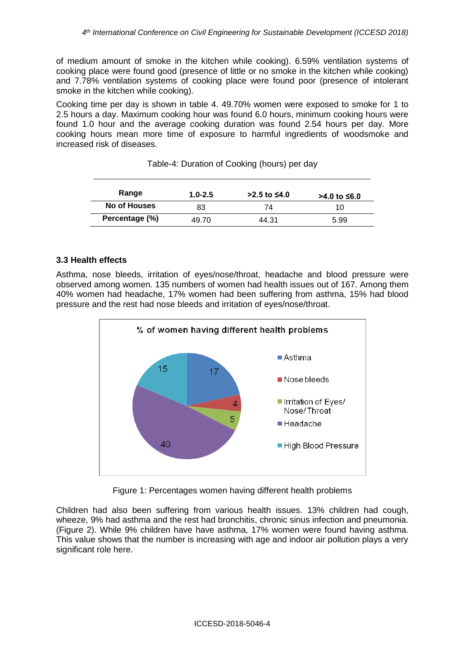of medium amount of smoke in the kitchen while cooking). 6.59% ventilation systems of cooking place were found good (presence of little or no smoke in the kitchen while cooking) and 7.78% ventilation systems of cooking place were found poor (presence of intolerant smoke in the kitchen while cooking).

Cooking time per day is shown in table 4. 49.70% women were exposed to smoke for 1 to 2.5 hours a day. Maximum cooking hour was found 6.0 hours, minimum cooking hours were found 1.0 hour and the average cooking duration was found 2.54 hours per day. More cooking hours mean more time of exposure to harmful ingredients of woodsmoke and increased risk of diseases.

| Range          | $1.0 - 2.5$ | $>2.5$ to ≤4.0 | >4.0 to ≤6.0 |
|----------------|-------------|----------------|--------------|
| No of Houses   | 83          | 74             | 10           |
| Percentage (%) | 49.70       | 44.31          | 5.99         |

## **3.3 Health effects**

Asthma, nose bleeds, irritation of eyes/nose/throat, headache and blood pressure were observed among women. 135 numbers of women had health issues out of 167. Among them 40% women had headache, 17% women had been suffering from asthma, 15% had blood pressure and the rest had nose bleeds and irritation of eyes/nose/throat.



Figure 1: Percentages women having different health problems

Children had also been suffering from various health issues. 13% children had cough, wheeze, 9% had asthma and the rest had bronchitis, chronic sinus infection and pneumonia. (Figure 2). While 9% children have have asthma, 17% women were found having asthma. This value shows that the number is increasing with age and indoor air pollution plays a very significant role here.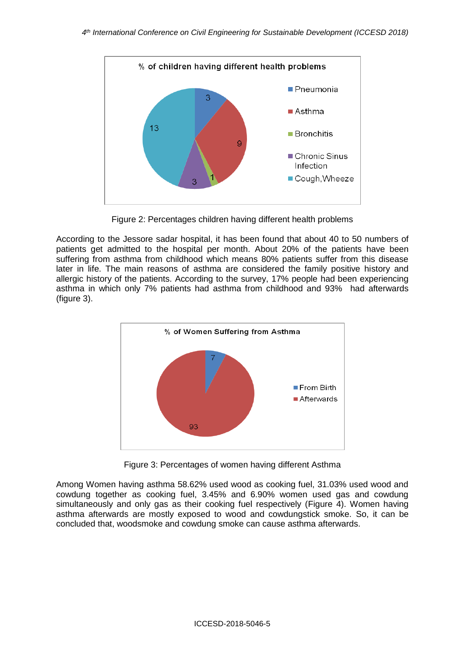

Figure 2: Percentages children having different health problems

According to the Jessore sadar hospital, it has been found that about 40 to 50 numbers of patients get admitted to the hospital per month. About 20% of the patients have been suffering from asthma from childhood which means 80% patients suffer from this disease later in life. The main reasons of asthma are considered the family positive history and allergic history of the patients. According to the survey, 17% people had been experiencing asthma in which only 7% patients had asthma from childhood and 93% had afterwards (figure 3).



Figure 3: Percentages of women having different Asthma

Among Women having asthma 58.62% used wood as cooking fuel, 31.03% used wood and cowdung together as cooking fuel, 3.45% and 6.90% women used gas and cowdung simultaneously and only gas as their cooking fuel respectively (Figure 4). Women having asthma afterwards are mostly exposed to wood and cowdungstick smoke. So, it can be concluded that, woodsmoke and cowdung smoke can cause asthma afterwards.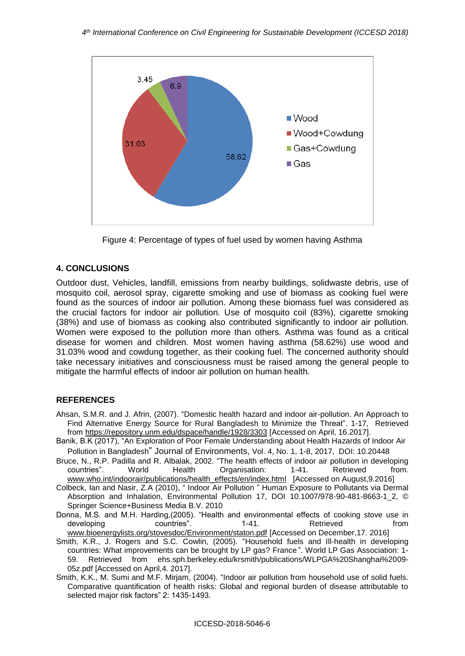

Figure 4: Percentage of types of fuel used by women having Asthma

### **4. CONCLUSIONS**

Outdoor dust, Vehicles, landfill, emissions from nearby buildings, solidwaste debris, use of mosquito coil, aerosol spray, cigarette smoking and use of biomass as cooking fuel were found as the sources of indoor air pollution. Among these biomass fuel was considered as the crucial factors for indoor air pollution. Use of mosquito coil (83%), cigarette smoking (38%) and use of biomass as cooking also contributed significantly to indoor air pollution. Women were exposed to the pollution more than others. Asthma was found as a critical disease for women and children. Most women having asthma (58.62%) use wood and 31.03% wood and cowdung together, as their cooking fuel. The concerned authority should take necessary initiatives and consciousness must be raised among the general people to mitigate the harmful effects of indoor air pollution on human health.

## **REFERENCES**

- Ahsan, S.M.R. and J. Afrin, (2007). "Domestic health hazard and indoor air-pollution. An Approach to Find Alternative Energy Source for Rural Bangladesh to Minimize the Threat". 1-17, Retrieved from<https://repository.unm.edu/dspace/handle/1928/3303> [Accessed on April, 16.2017].
- Banik, B.K (2017), "An Exploration of Poor Female Understanding about Health Hazards of Indoor Air Pollution in Bangladesh" Journal of Environments, Vol. 4, No. 1, 1-8, 2017, DOI: 10.20448
- Bruce, N., R.P. Padilla and R. Albalak, 2002. "The health effects of indoor air pollution in developing countries". World Health Organisation: 1-41. Retrieved from. [www.who.int/indoorair/publications/health\\_effects/en/index.html](http://www.who.int/indoorair/publications/health_effects/en/index.html) [Accessed on August,9.2016]
- Colbeck, Ian and Nasir, Z.A (2010), " Indoor Air Pollution " Human Exposure to Pollutants via Dermal Absorption and Inhalation, Environmental Pollution 17, DOI 10.1007/978-90-481-8663-1\_2, © Springer Science+Business Media B.V. 2010
- Donna, M.S. and M.H. Harding,(2005). "Health and environmental effects of cooking stove use in<br>developing countries". 1-41. Retrieved from developing countries". 1-41. Retrieved from [www.bioenergylists.org/stovesdoc/Environment/staton.pdf](http://www.bioenergylists.org/stovesdoc/Environment/staton.pdf) [Accessed on December,17. 2016]
- Smith, K.R., J. Rogers and S.C. Cowlin, (2005). "Household fuels and Ill-health in developing countries: What improvements can be brought by LP gas? France ". World LP Gas Association: 1- 59. Retrieved from ehs.sph.berkeley.edu/krsmith/publications/WLPGA%20Shanghai%2009- 05z.pdf [Accessed on April,4. 2017].
- Smith, K.K., M. Sumi and M.F. Mirjam, (2004). "Indoor air pollution from household use of solid fuels. Comparative quantification of health risks: Global and regional burden of disease attributable to selected major risk factors" 2: 1435-1493.